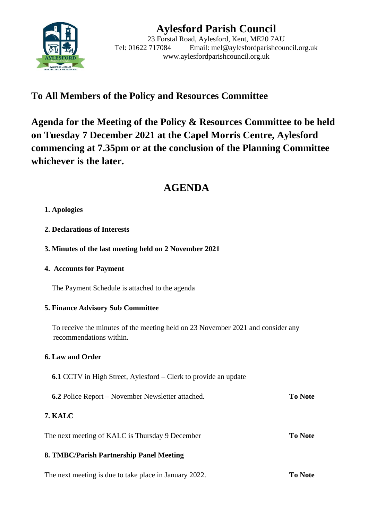

# **Aylesford Parish Council**

23 Forstal Road, Aylesford, Kent, ME20 7AU Tel: 01622 717084 Email: mel@aylesfordparishcouncil.org.uk www.aylesfordparishcouncil.org.uk

# **To All Members of the Policy and Resources Committee**

**Agenda for the Meeting of the Policy & Resources Committee to be held on Tuesday 7 December 2021 at the Capel Morris Centre, Aylesford commencing at 7.35pm or at the conclusion of the Planning Committee whichever is the later.**

# **AGENDA**

### **1. Apologies**

- **2. Declarations of Interests**
- **3. Minutes of the last meeting held on 2 November 2021**

### **4. Accounts for Payment**

The Payment Schedule is attached to the agenda

### **5. Finance Advisory Sub Committee**

 To receive the minutes of the meeting held on 23 November 2021 and consider any recommendations within.

## **6. Law and Order**

- **6.1** CCTV in High Street, Aylesford Clerk to provide an update
- **6.2** Police Report November Newsletter attached. **To Note**

## **7. KALC**

The next meeting of KALC is Thursday 9 December **To Note**

## **8. TMBC/Parish Partnership Panel Meeting**

The next meeting is due to take place in January 2022. **To Note**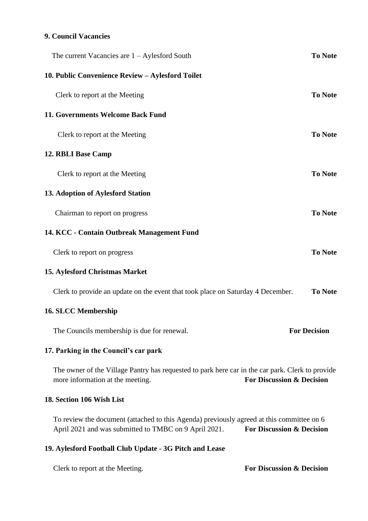## **9. Council Vacancies**

| The current Vacancies are $1 -$ Aylesford South                                                                                                                                            | <b>To Note</b>      |
|--------------------------------------------------------------------------------------------------------------------------------------------------------------------------------------------|---------------------|
| 10. Public Convenience Review - Aylesford Toilet                                                                                                                                           |                     |
| Clerk to report at the Meeting                                                                                                                                                             | <b>To Note</b>      |
| 11. Governments Welcome Back Fund                                                                                                                                                          |                     |
| Clerk to report at the Meeting                                                                                                                                                             | <b>To Note</b>      |
| 12. RBLI Base Camp                                                                                                                                                                         |                     |
| Clerk to report at the Meeting                                                                                                                                                             | <b>To Note</b>      |
| 13. Adoption of Aylesford Station                                                                                                                                                          |                     |
| Chairman to report on progress                                                                                                                                                             | <b>To Note</b>      |
| 14. KCC - Contain Outbreak Management Fund                                                                                                                                                 |                     |
| Clerk to report on progress                                                                                                                                                                | <b>To Note</b>      |
| 15. Aylesford Christmas Market                                                                                                                                                             |                     |
| Clerk to provide an update on the event that took place on Saturday 4 December.                                                                                                            | <b>To Note</b>      |
| <b>16. SLCC Membership</b>                                                                                                                                                                 |                     |
| The Councils membership is due for renewal.                                                                                                                                                | <b>For Decision</b> |
| 17. Parking in the Council's car park                                                                                                                                                      |                     |
| The owner of the Village Pantry has requested to park here car in the car park. Clerk to provide<br><b>For Discussion &amp; Decision</b><br>more information at the meeting.               |                     |
| 18. Section 106 Wish List                                                                                                                                                                  |                     |
| To review the document (attached to this Agenda) previously agreed at this committee on 6<br>April 2021 and was submitted to TMBC on 9 April 2021.<br><b>For Discussion &amp; Decision</b> |                     |

# **19. Aylesford Football Club Update - 3G Pitch and Lease**

Clerk to report at the Meeting. **For Discussion & Decision**